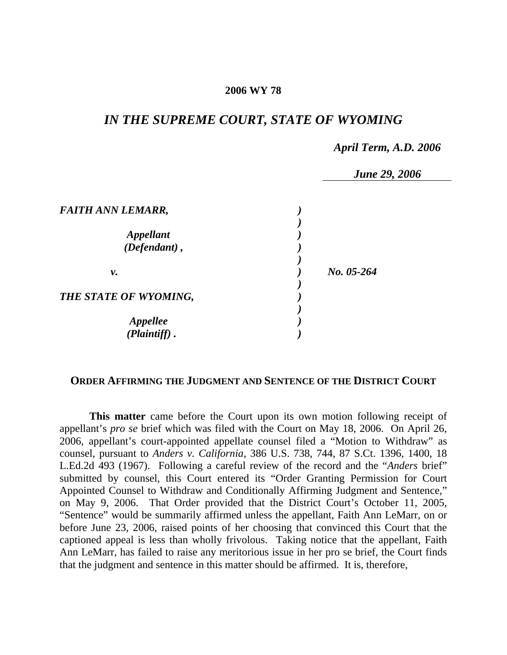## **2006 WY 78**

# *IN THE SUPREME COURT, STATE OF WYOMING*

#### *April Term, A.D. 2006*

 *June 29, 2006* 

|                                                   | <b>June 29,</b> |
|---------------------------------------------------|-----------------|
| <b>FAITH ANN LEMARR,</b>                          |                 |
| <b>Appellant</b><br>(Defendant),                  |                 |
| ν.                                                | $No. 05-264$    |
| THE STATE OF WYOMING,                             |                 |
| <i><b>Appellee</b></i><br>$(\tilde{Plaintiff})$ . |                 |

## **ORDER AFFIRMING THE JUDGMENT AND SENTENCE OF THE DISTRICT COURT**

**This matter** came before the Court upon its own motion following receipt of appellant's *pro se* brief which was filed with the Court on May 18, 2006. On April 26, 2006, appellant's court-appointed appellate counsel filed a "Motion to Withdraw" as counsel, pursuant to *Anders v. California*, 386 U.S. 738, 744, 87 S.Ct. 1396, 1400, 18 L.Ed.2d 493 (1967). Following a careful review of the record and the "*Anders* brief" submitted by counsel, this Court entered its "Order Granting Permission for Court Appointed Counsel to Withdraw and Conditionally Affirming Judgment and Sentence," on May 9, 2006. That Order provided that the District Court's October 11, 2005, "Sentence" would be summarily affirmed unless the appellant, Faith Ann LeMarr, on or before June 23, 2006, raised points of her choosing that convinced this Court that the captioned appeal is less than wholly frivolous. Taking notice that the appellant, Faith Ann LeMarr, has failed to raise any meritorious issue in her pro se brief, the Court finds that the judgment and sentence in this matter should be affirmed. It is, therefore,